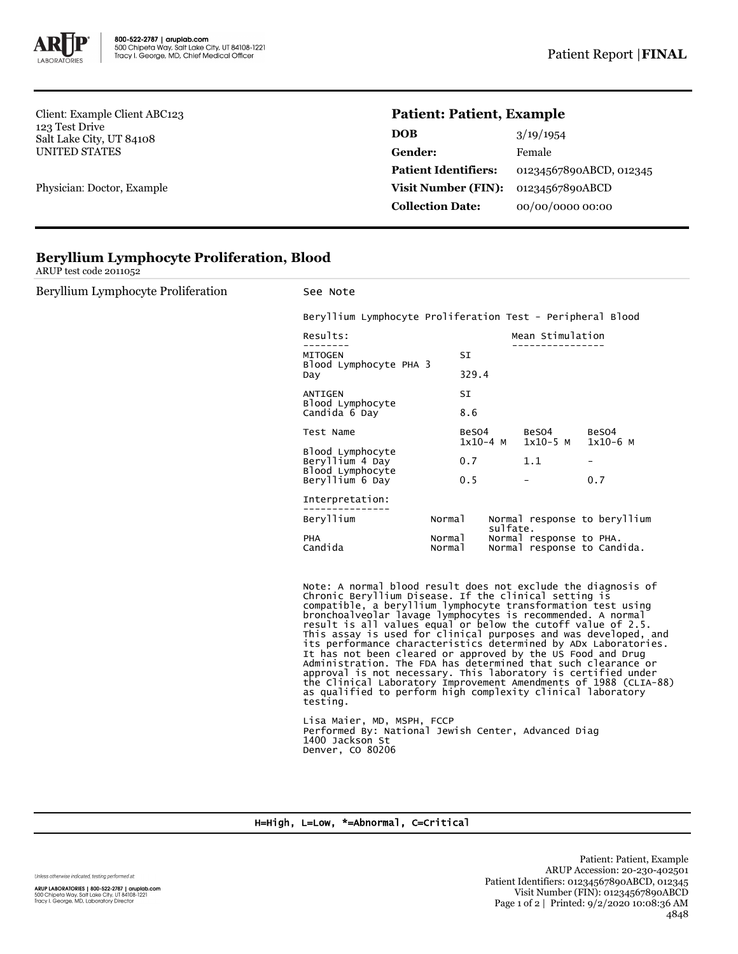

Client: Example Client ABC123 123 Test Drive Salt Lake City, UT 84108 UNITED STATES

Physician: Doctor, Example

## **Patient: Patient, Example**

| <b>DOB</b>                  | 3/19/1954               |
|-----------------------------|-------------------------|
| <b>Gender:</b>              | Female                  |
| <b>Patient Identifiers:</b> | 01234567890ABCD, 012345 |
| Visit Number (FIN):         | 01234567890ABCD         |
| <b>Collection Date:</b>     | 00/00/0000 00:00        |

|  |  | <b>Beryllium Lymphocyte Proliferation, Blood</b> |  |
|--|--|--------------------------------------------------|--|
|--|--|--------------------------------------------------|--|

ARUP test code 2011052

Beryllium Lymphocyte Proliferation See Note Beryllium Lymphocyte Proliferation Test - Peripheral Blood Results: Mean Stimulation -------- ---------------- MITOGEN SI Blood Lymphocyte PHA 3 329.4 ANTIGEN SI Blood Lymphocyte Candida 6 Day 8.6 Test Name BeSO4 BeSO4 BeSO4  $1x10-5$  M Blood Lymphocyte Beryllium 4 Day 0.7 1.1 Blood Lymphocyte Beryllium 6 Day 0.5 - 0.7 Interpretation: Beryllium Normal Normal response to beryllium sulfate. PHA Normal Normal response to PHA. Candida Normal Normal response to Candida. Note: A normal blood result does not exclude the diagnosis of Chronic Beryllium Disease. If the clinical setting is compatible, a beryllium lymphocyte transformation test using bronchoalveolar lavage lymphocytes is recommended. A normal result is all values equal or below the cutoff value of 2.5. This assay is used for clinical purposes and was developed, and its performance characteristics determined by ADx Laboratories. It has not been cleared or approved by the US Food and Drug Administration. The FDA has determined that such clearance or approval is not necessary. This laboratory is certified under the Clinical Laboratory Improvement Amendments of 1988 (CLIA-88) as qualified to perform high complexity clinical laboratory testing. Lisa Maier, MD, MSPH, FCCP Performed By: National Jewish Center, Advanced Diag 1400 Jackson St Denver, CO 80206

## H=High, L=Low, \*=Abnormal, C=Critical